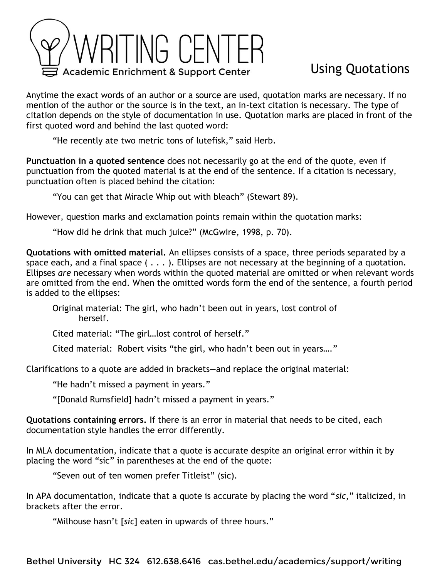

## Using Quotations

Anytime the exact words of an author or a source are used, quotation marks are necessary. If no mention of the author or the source is in the text, an in-text citation is necessary. The type of citation depends on the style of documentation in use. Quotation marks are placed in front of the first quoted word and behind the last quoted word:

"He recently ate two metric tons of lutefisk," said Herb.

**Punctuation in a quoted sentence** does not necessarily go at the end of the quote, even if punctuation from the quoted material is at the end of the sentence. If a citation is necessary, punctuation often is placed behind the citation:

"You can get that Miracle Whip out with bleach" (Stewart 89).

However, question marks and exclamation points remain within the quotation marks:

"How did he drink that much juice?" (McGwire, 1998, p. 70).

**Quotations with omitted material.** An ellipses consists of a space, three periods separated by a space each, and a final space  $( \ldots )$ . Ellipses are not necessary at the beginning of a quotation. Ellipses *are* necessary when words within the quoted material are omitted or when relevant words are omitted from the end. When the omitted words form the end of the sentence, a fourth period is added to the ellipses:

Original material: The girl, who hadn't been out in years, lost control of herself.

Cited material: "The girl…lost control of herself."

Cited material: Robert visits "the girl, who hadn't been out in years…."

Clarifications to a quote are added in brackets—and replace the original material:

"He hadn't missed a payment in years."

"[Donald Rumsfield] hadn't missed a payment in years."

**Quotations containing errors.** If there is an error in material that needs to be cited, each documentation style handles the error differently.

In MLA documentation, indicate that a quote is accurate despite an original error within it by placing the word "sic" in parentheses at the end of the quote:

"Seven out of ten women prefer Titleist" (sic).

In APA documentation, indicate that a quote is accurate by placing the word "*sic*," italicized, in brackets after the error.

"Milhouse hasn't [*sic*] eaten in upwards of three hours."